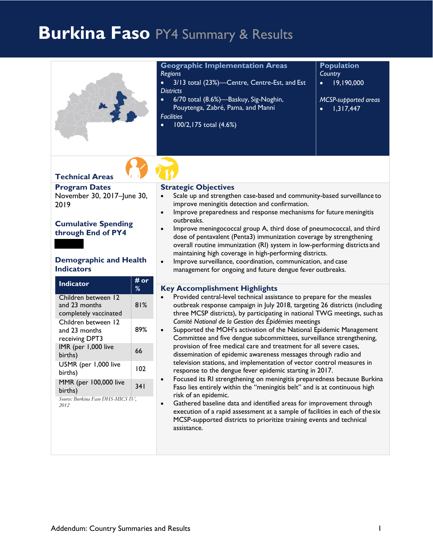# **Burkina Faso** PY4 Summary & Results

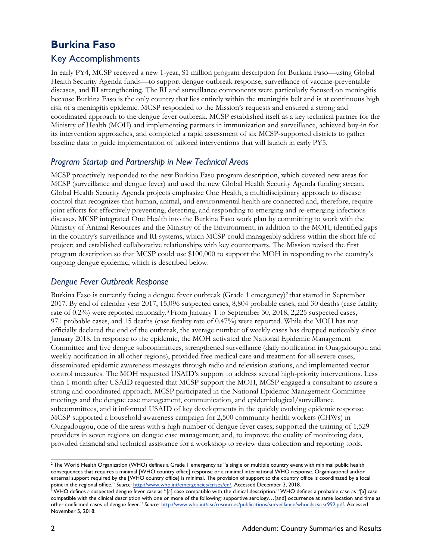# **Burkina Faso**

## Key Accomplishments

In early PY4, MCSP received a new 1-year, \$1 million program description for Burkina Faso—using Global Health Security Agenda funds—to support dengue outbreak response, surveillance of vaccine-preventable diseases, and RI strengthening. The RI and surveillance components were particularly focused on meningitis because Burkina Faso is the only country that lies entirely within the meningitis belt and is at continuous high risk of a meningitis epidemic. MCSP responded to the Mission's requests and ensured a strong and coordinated approach to the dengue fever outbreak. MCSP established itself as a key technical partner for the Ministry of Health (MOH) and implementing partners in immunization and surveillance, achieved buy-in for its intervention approaches, and completed a rapid assessment of six MCSP-supported districts to gather baseline data to guide implementation of tailored interventions that will launch in early PY5.

#### *Program Startup and Partnership in New Technical Areas*

MCSP proactively responded to the new Burkina Faso program description, which covered new areas for MCSP (surveillance and dengue fever) and used the new Global Health Security Agenda funding stream. Global Health Security Agenda projects emphasize One Health, a multidisciplinary approach to disease control that recognizes that human, animal, and environmental health are connected and, therefore, require joint efforts for effectively preventing, detecting, and responding to emerging and re-emerging infectious diseases. MCSP integrated One Health into the Burkina Faso work plan by committing to work with the Ministry of Animal Resources and the Ministry of the Environment, in addition to the MOH; identified gaps in the country's surveillance and RI systems, which MCSP could manageably address within the short life of project; and established collaborative relationships with key counterparts. The Mission revised the first program description so that MCSP could use \$100,000 to support the MOH in responding to the country's ongoing dengue epidemic, which is described below.

#### *Dengue Fever Outbreak Response*

Burkina Faso is currently facing a dengue fever outbreak (Grade 1 emergency)<sup>[2](#page-1-0)</sup> that started in September 2017. By end of calendar year 2017, 15,096 suspected cases, 8,804 probable cases, and 30 deaths (case fatality rate of 0.2%) were reported nationally.[3](#page-1-1) From January 1 to September 30, 2018, 2,225 suspected cases, 971 probable cases, and 15 deaths (case fatality rate of 0.47%) were reported. While the MOH has not officially declared the end of the outbreak, the average number of weekly cases has dropped noticeably since January 2018. In response to the epidemic, the MOH activated the National Epidemic Management Committee and five dengue subcommittees, strengthened surveillance (daily notification in Ouagadougou and weekly notification in all other regions), provided free medical care and treatment for all severe cases, disseminated epidemic awareness messages through radio and television stations, and implemented vector control measures. The MOH requested USAID's support to address several high-priority interventions. Less than 1 month after USAID requested that MCSP support the MOH, MCSP engaged a consultant to assure a strong and coordinated approach. MCSP participated in the National Epidemic Management Committee meetings and the dengue case management, communication, and epidemiological/surveillance subcommittees, and it informed USAID of key developments in the quickly evolving epidemic response. MCSP supported a household awareness campaign for 2,500 community health workers (CHWs) in Ouagadougou, one of the areas with a high number of dengue fever cases; supported the training of 1,529 providers in seven regions on dengue case management; and, to improve the quality of monitoring data, provided financial and technical assistance for a workshop to review data collection and reporting tools.

<span id="page-1-0"></span><sup>&</sup>lt;sup>2</sup> The World Health Organization (WHO) defines a Grade 1 emergency as "a single or multiple country event with minimal public health consequences that requires a minimal [WHO country office] response or a minimal international WHO response. Organizational and/or external support required by the [WHO country office] is minimal. The provision of support to the country office is coordinated by a focal point in the regional office." *Source:* [http://www.who.int/emergencies/crises/en/. A](http://www.who.int/emergencies/crises/en/)ccessed December 3, 2018.

<span id="page-1-1"></span> $^3$  WHO defines a suspected dengue fever case as "[a] case compatible with the clinical description." WHO defines a probable case as "[a] case compatible with the clinical description with one or more of the following: supportive serology…[and] occurrence at same location and time as other confirmed cases of dengue fever." *Source:* [http://www.who.int/csr/resources/publications/surveillance/whocdscsrisr992.pdf. A](http://www.who.int/csr/resources/publications/surveillance/whocdscsrisr992.pdf)ccessed November 5, 2018.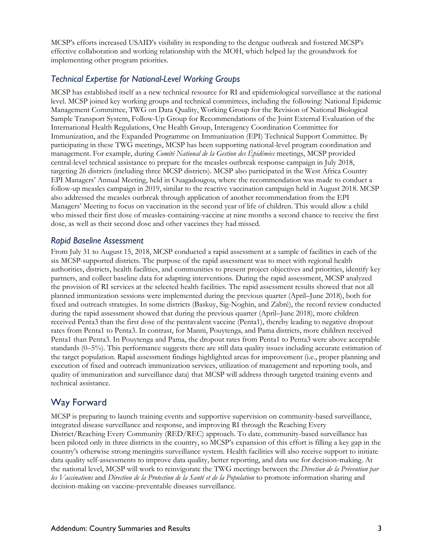MCSP's efforts increased USAID's visibility in responding to the dengue outbreak and fostered MCSP's effective collaboration and working relationship with the MOH, which helped lay the groundwork for implementing other program priorities.

#### *Technical Expertise for National-Level Working Groups*

MCSP has established itself as a new technical resource for RI and epidemiological surveillance at the national level. MCSP joined key working groups and technical committees, including the following: National Epidemic Management Committee, TWG on Data Quality, Working Group for the Revision of National Biological Sample Transport System, Follow-Up Group for Recommendations of the Joint External Evaluation of the International Health Regulations, One Health Group, Interagency Coordination Committee for Immunization, and the Expanded Programme on Immunization (EPI) Technical Support Committee. By participating in these TWG meetings, MCSP has been supporting national-level program coordination and management. For example, during *Comité National de la Gestion des Épidémies* meetings, MCSP provided central-level technical assistance to prepare for the measles outbreak response campaign in July 2018, targeting 26 districts (including three MCSP districts). MCSP also participated in the West Africa Country EPI Managers' Annual Meeting, held in Ouagadougou, where the recommendation was made to conduct a follow-up measles campaign in 2019, similar to the reactive vaccination campaign held in August 2018. MCSP also addressed the measles outbreak through application of another recommendation from the EPI Managers' Meeting to focus on vaccination in the second year of life of children. This would allow a child who missed their first dose of measles-containing-vaccine at nine months a second chance to receive the first dose, as well as their second dose and other vaccines they had missed.

#### *Rapid Baseline Assessment*

From July 31 to August 15, 2018, MCSP conducted a rapid assessment at a sample of facilities in each of the six MCSP-supported districts. The purpose of the rapid assessment was to meet with regional health authorities, districts, health facilities, and communities to present project objectives and priorities, identify key partners, and collect baseline data for adapting interventions. During the rapid assessment, MCSP analyzed the provision of RI services at the selected health facilities. The rapid assessment results showed that not all planned immunization sessions were implemented during the previous quarter (April–June 2018), both for fixed and outreach strategies. In some districts (Baskuy, Sig-Noghin, and Zabré), the record review conducted during the rapid assessment showed that during the previous quarter (April–June 2018), more children received Penta3 than the first dose of the pentavalent vaccine (Penta1), thereby leading to negative dropout rates from Penta1 to Penta3. In contrast, for Manni, Pouytenga, and Pama districts, more children received Penta1 than Penta3. In Pouytenga and Pama, the dropout rates from Penta1 to Penta3 were above acceptable standards (0–5%). This performance suggests there are still data quality issues including accurate estimation of the target population. Rapid assessment findings highlighted areas for improvement (i.e., proper planning and execution of fixed and outreach immunization services, utilization of management and reporting tools, and quality of immunization and surveillance data) that MCSP will address through targeted training events and technical assistance.

### Way Forward

MCSP is preparing to launch training events and supportive supervision on community-based surveillance, integrated disease surveillance and response, and improving RI through the Reaching Every District/Reaching Every Community (RED/REC) approach. To date, community-based surveillance has been piloted only in three districts in the country, so MCSP's expansion of this effort is filling a key gap in the country's otherwise strong meningitis surveillance system. Health facilities will also receive support to initiate data quality self-assessments to improve data quality, better reporting, and data use for decision-making. At the national level, MCSP will work to reinvigorate the TWG meetings between the *Direction de la Prévention par les Vaccinations* and *Direction de la Protection de la Santé et de la Population* to promote information sharing and decision-making on vaccine-preventable diseases surveillance.